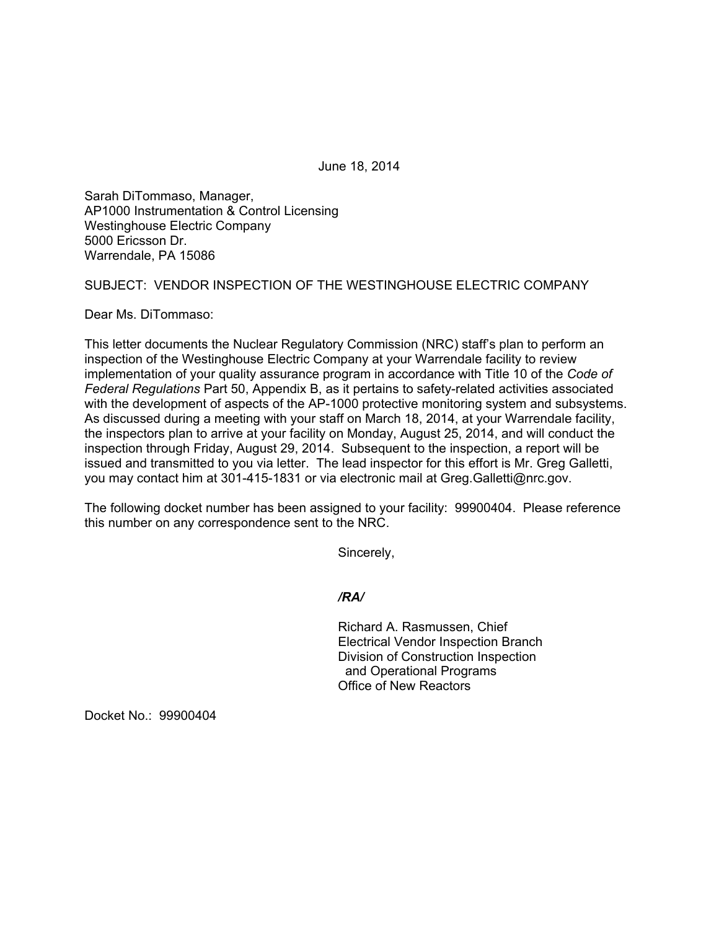June 18, 2014

Sarah DiTommaso, Manager, AP1000 Instrumentation & Control Licensing Westinghouse Electric Company 5000 Ericsson Dr. Warrendale, PA 15086

SUBJECT: VENDOR INSPECTION OF THE WESTINGHOUSE ELECTRIC COMPANY

Dear Ms. DiTommaso:

This letter documents the Nuclear Regulatory Commission (NRC) staff's plan to perform an inspection of the Westinghouse Electric Company at your Warrendale facility to review implementation of your quality assurance program in accordance with Title 10 of the *Code of Federal Regulations* Part 50, Appendix B, as it pertains to safety-related activities associated with the development of aspects of the AP-1000 protective monitoring system and subsystems. As discussed during a meeting with your staff on March 18, 2014, at your Warrendale facility, the inspectors plan to arrive at your facility on Monday, August 25, 2014, and will conduct the inspection through Friday, August 29, 2014. Subsequent to the inspection, a report will be issued and transmitted to you via letter. The lead inspector for this effort is Mr. Greg Galletti, you may contact him at 301-415-1831 or via electronic mail at Greg.Galletti@nrc.gov.

The following docket number has been assigned to your facility: 99900404. Please reference this number on any correspondence sent to the NRC.

Sincerely,

*/RA/* 

Richard A. Rasmussen, Chief Electrical Vendor Inspection Branch Division of Construction Inspection and Operational Programs Office of New Reactors

Docket No.: 99900404